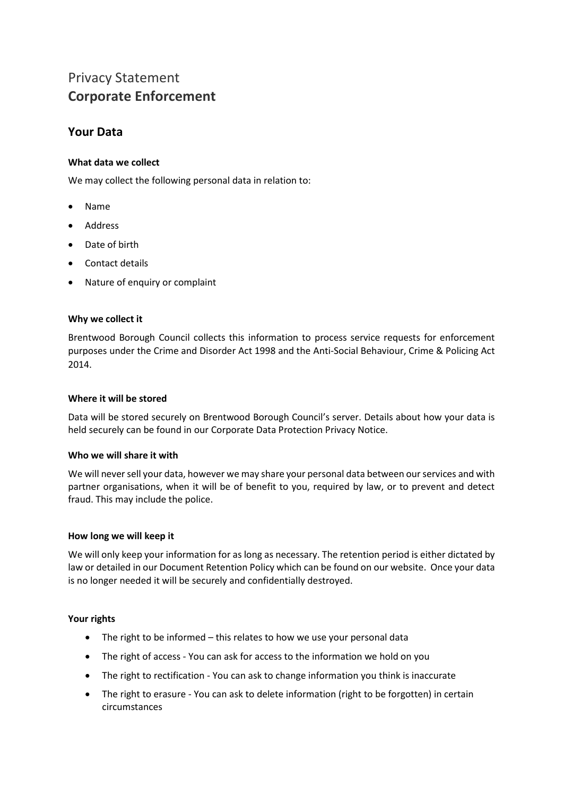# Privacy Statement **Corporate Enforcement**

## **Your Data**

### **What data we collect**

We may collect the following personal data in relation to:

- Name
- Address
- Date of birth
- Contact details
- Nature of enquiry or complaint

#### **Why we collect it**

Brentwood Borough Council collects this information to process service requests for enforcement purposes under the Crime and Disorder Act 1998 and the Anti-Social Behaviour, Crime & Policing Act 2014.

#### **Where it will be stored**

Data will be stored securely on Brentwood Borough Council's server. Details about how your data is held securely can be found in our Corporate Data Protection Privacy Notice.

#### **Who we will share it with**

We will never sell your data, however we may share your personal data between our services and with partner organisations, when it will be of benefit to you, required by law, or to prevent and detect fraud. This may include the police.

#### **How long we will keep it**

We will only keep your information for as long as necessary. The retention period is either dictated by law or detailed in our Document Retention Policy which can be found on our website. Once your data is no longer needed it will be securely and confidentially destroyed.

#### **Your rights**

- The right to be informed this relates to how we use your personal data
- The right of access You can ask for access to the information we hold on you
- The right to rectification You can ask to change information you think is inaccurate
- The right to erasure You can ask to delete information (right to be forgotten) in certain circumstances